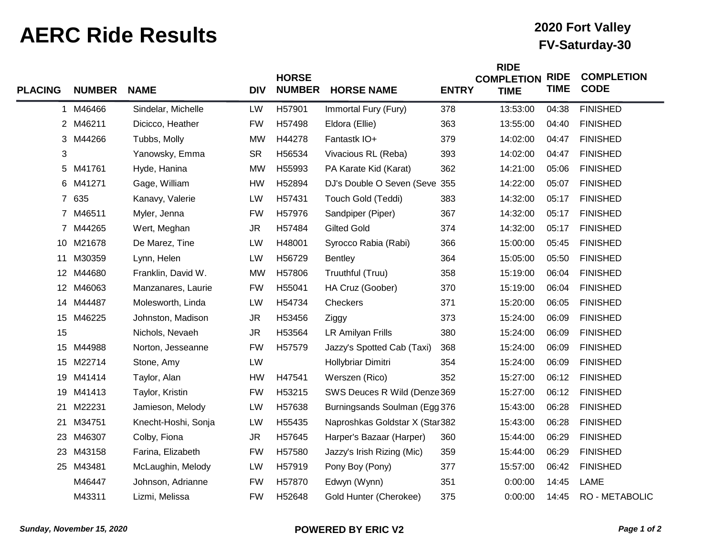## **AERC Ride Results FV-Saturday-30 AERC Ride Results**

## **2020 Fort Valley**

**RIGHT** 

| <b>PLACING</b> | <b>NUMBER</b> | <b>NAME</b>         | <b>DIV</b> | <b>HORSE</b><br><b>NUMBER</b> | <b>HORSE NAME</b>              | <b>ENTRY</b> | <b>KIDE</b><br><b>COMPLETION</b><br><b>TIME</b> | <b>RIDE</b><br><b>TIME</b> | <b>COMPLETION</b><br><b>CODE</b> |
|----------------|---------------|---------------------|------------|-------------------------------|--------------------------------|--------------|-------------------------------------------------|----------------------------|----------------------------------|
| 1.             | M46466        | Sindelar, Michelle  | LW         | H57901                        | Immortal Fury (Fury)           | 378          | 13:53:00                                        | 04:38                      | <b>FINISHED</b>                  |
|                | 2 M46211      | Dicicco, Heather    | <b>FW</b>  | H57498                        | Eldora (Ellie)                 | 363          | 13:55:00                                        | 04:40                      | <b>FINISHED</b>                  |
|                | 3 M44266      | Tubbs, Molly        | <b>MW</b>  | H44278                        | Fantastk IO+                   | 379          | 14:02:00                                        | 04:47                      | <b>FINISHED</b>                  |
| 3              |               | Yanowsky, Emma      | <b>SR</b>  | H56534                        | Vivacious RL (Reba)            | 393          | 14:02:00                                        | 04:47                      | <b>FINISHED</b>                  |
|                | 5 M41761      | Hyde, Hanina        | <b>MW</b>  | H55993                        | PA Karate Kid (Karat)          | 362          | 14:21:00                                        | 05:06                      | <b>FINISHED</b>                  |
|                | 6 M41271      | Gage, William       | <b>HW</b>  | H52894                        | DJ's Double O Seven (Seve 355  |              | 14:22:00                                        | 05:07                      | <b>FINISHED</b>                  |
|                | 7 635         | Kanavy, Valerie     | LW         | H57431                        | Touch Gold (Teddi)             | 383          | 14:32:00                                        | 05:17                      | <b>FINISHED</b>                  |
|                | 7 M46511      | Myler, Jenna        | <b>FW</b>  | H57976                        | Sandpiper (Piper)              | 367          | 14:32:00                                        | 05:17                      | <b>FINISHED</b>                  |
|                | 7 M44265      | Wert, Meghan        | <b>JR</b>  | H57484                        | <b>Gilted Gold</b>             | 374          | 14:32:00                                        | 05:17                      | <b>FINISHED</b>                  |
|                | 10 M21678     | De Marez, Tine      | LW         | H48001                        | Syrocco Rabia (Rabi)           | 366          | 15:00:00                                        | 05:45                      | <b>FINISHED</b>                  |
| 11             | M30359        | Lynn, Helen         | LW         | H56729                        | Bentley                        | 364          | 15:05:00                                        | 05:50                      | <b>FINISHED</b>                  |
|                | 12 M44680     | Franklin, David W.  | <b>MW</b>  | H57806                        | Truuthful (Truu)               | 358          | 15:19:00                                        | 06:04                      | <b>FINISHED</b>                  |
| 12             | M46063        | Manzanares, Laurie  | <b>FW</b>  | H55041                        | HA Cruz (Goober)               | 370          | 15:19:00                                        | 06:04                      | <b>FINISHED</b>                  |
|                | 14 M44487     | Molesworth, Linda   | LW         | H54734                        | Checkers                       | 371          | 15:20:00                                        | 06:05                      | <b>FINISHED</b>                  |
|                | 15 M46225     | Johnston, Madison   | <b>JR</b>  | H53456                        | Ziggy                          | 373          | 15:24:00                                        | 06:09                      | <b>FINISHED</b>                  |
| 15             |               | Nichols, Nevaeh     | <b>JR</b>  | H53564                        | LR Amilyan Frills              | 380          | 15:24:00                                        | 06:09                      | <b>FINISHED</b>                  |
| 15             | M44988        | Norton, Jesseanne   | <b>FW</b>  | H57579                        | Jazzy's Spotted Cab (Taxi)     | 368          | 15:24:00                                        | 06:09                      | <b>FINISHED</b>                  |
| 15             | M22714        | Stone, Amy          | LW         |                               | Hollybriar Dimitri             | 354          | 15:24:00                                        | 06:09                      | <b>FINISHED</b>                  |
| 19             | M41414        | Taylor, Alan        | HW         | H47541                        | Werszen (Rico)                 | 352          | 15:27:00                                        | 06:12                      | <b>FINISHED</b>                  |
| 19             | M41413        | Taylor, Kristin     | <b>FW</b>  | H53215                        | SWS Deuces R Wild (Denze 369   |              | 15:27:00                                        | 06:12                      | <b>FINISHED</b>                  |
| 21             | M22231        | Jamieson, Melody    | LW         | H57638                        | Burningsands Soulman (Egg 376  |              | 15:43:00                                        | 06:28                      | <b>FINISHED</b>                  |
| 21             | M34751        | Knecht-Hoshi, Sonja | LW         | H55435                        | Naproshkas Goldstar X (Star382 |              | 15:43:00                                        | 06:28                      | <b>FINISHED</b>                  |
| 23             | M46307        | Colby, Fiona        | <b>JR</b>  | H57645                        | Harper's Bazaar (Harper)       | 360          | 15:44:00                                        | 06:29                      | <b>FINISHED</b>                  |
| 23             | M43158        | Farina, Elizabeth   | <b>FW</b>  | H57580                        | Jazzy's Irish Rizing (Mic)     | 359          | 15:44:00                                        | 06:29                      | <b>FINISHED</b>                  |
|                | 25 M43481     | McLaughin, Melody   | LW         | H57919                        | Pony Boy (Pony)                | 377          | 15:57:00                                        | 06:42                      | <b>FINISHED</b>                  |
|                | M46447        | Johnson, Adrianne   | <b>FW</b>  | H57870                        | Edwyn (Wynn)                   | 351          | 0:00:00                                         | 14:45                      | LAME                             |
|                | M43311        | Lizmi, Melissa      | <b>FW</b>  | H52648                        | Gold Hunter (Cherokee)         | 375          | 0:00:00                                         | 14:45                      | <b>RO - METABOLIC</b>            |